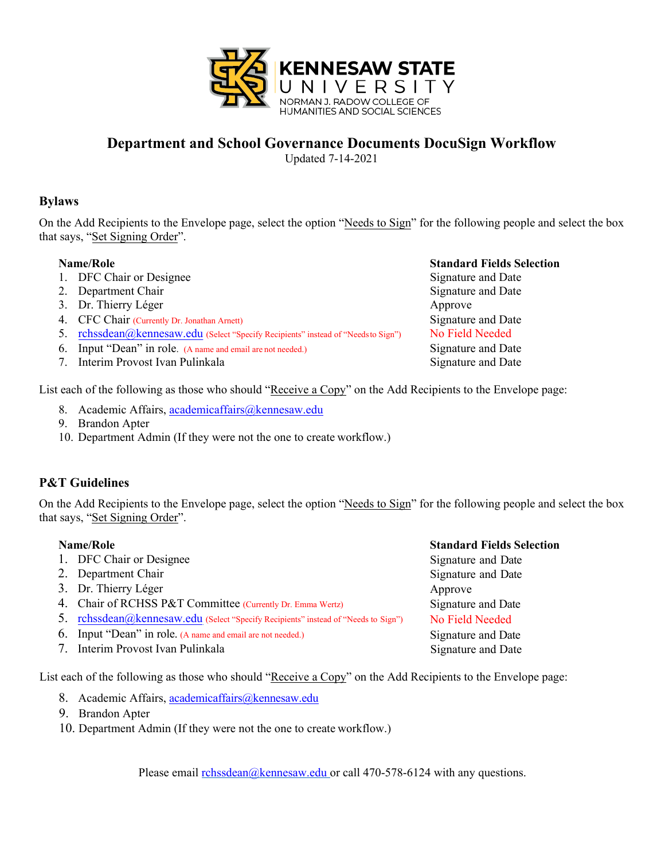

### **Department and School Governance Documents DocuSign Workflow**

Updated 7-14-2021

#### **Bylaws**

On the Add Recipients to the Envelope page, select the option "Needs to Sign" for the following people and select the box that says, "Set Signing Order".

- 1. DFC Chair or Designee
- 2. Department Chair
- 3. Dr. Thierry Léger
- 4. CFC Chair (Currently Dr. Jonathan Arnett)
- 5. [rchssdean@kennesaw.edu](mailto:rchssdean@kennesaw.edu) (Select "Specify Recipients" instead of "Needs to Sign")
- 6. Input "Dean" in role. (A name and email are not needed.)
- 7. Interim Provost Ivan Pulinkala Signature and Date Signature and Date

**Name/Role Standard Fields Selection** Signature and Date Signature and Date Approve Signature and Date No Field Needed Signature and Date

List each of the following as those who should "Receive a Copy" on the Add Recipients to the Envelope page:

- 8. Academic Affairs, [academicaffairs@kennesaw.edu](mailto:academicaffairs@kennesaw.edu)
- 9. Brandon Apter
- 10. Department Admin (If they were not the one to create workflow.)

#### **P&T Guidelines**

On the Add Recipients to the Envelope page, select the option "Needs to Sign" for the following people and select the box that says, "Set Signing Order".

| Name/Role                                                                          | <b>Standard Fields Selection</b> |  |  |
|------------------------------------------------------------------------------------|----------------------------------|--|--|
| 1. DFC Chair or Designee                                                           | Signature and Date               |  |  |
| 2. Department Chair                                                                | Signature and Date               |  |  |
| 3. Dr. Thierry Léger                                                               | Approve                          |  |  |
| 4. Chair of RCHSS P&T Committee (Currently Dr. Emma Wertz)                         | Signature and Date               |  |  |
| 5. rchssdean@kennesaw.edu (Select "Specify Recipients" instead of "Needs to Sign") | No Field Needed                  |  |  |
| 6. Input "Dean" in role. (A name and email are not needed.)                        | Signature and Date               |  |  |
| 7. Interim Provost Ivan Pulinkala                                                  | Signature and Date               |  |  |
|                                                                                    |                                  |  |  |

List each of the following as those who should "Receive a Copy" on the Add Recipients to the Envelope page:

- 8. Academic Affairs, [academicaffairs@kennesaw.edu](mailto:academicaffairs@kennesaw.edu)
- 9. Brandon Apter
- 10. Department Admin (If they were not the one to create workflow.)

Please email [rchssdean@kennesaw.edu](mailto:rchssdean@kennesaw.edu) or call 470-578-6124 with any questions.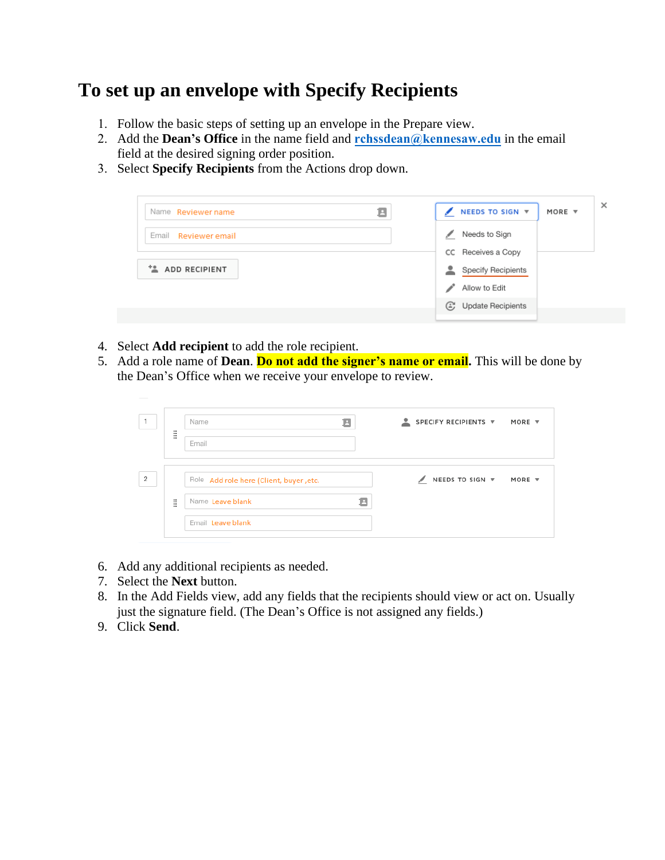# **To set up an envelope with Specify Recipients**

- 1. Follow the basic steps of setting up an envelope in the Prepare view.
- 2. Add the **Dean's Office** in the name field and **[rchssdean@kennesaw.edu](mailto:rchssdean@kennesaw.edu)** in the email field at the desired signing order position.
- 3. Select **Specify Recipients** from the Actions drop down.



- 4. Select **Add recipient** to add the role recipient.
- 5. Add a role name of **Dean**. **Do not add the signer's name or email.** This will be done by the Dean's Office when we receive your envelope to review.

|                |          | Name<br>в                               | SPECIFY RECIPIENTS V<br>╺<br>MORE ▼ |
|----------------|----------|-----------------------------------------|-------------------------------------|
|                | H        | Email                                   |                                     |
| $\overline{c}$ |          | Role Add role here (Client, buyer, etc. | NEEDS TO SIGN ▼ MORE ▼              |
|                | ×<br>88. | Name Leave blank<br>Ξ                   |                                     |
|                |          | Email Leave blank                       |                                     |

- 6. Add any additional recipients as needed.
- 7. Select the **Next** button.
- 8. In the Add Fields view, add any fields that the recipients should view or act on. Usually just the signature field. (The Dean's Office is not assigned any fields.)
- 9. Click **Send**.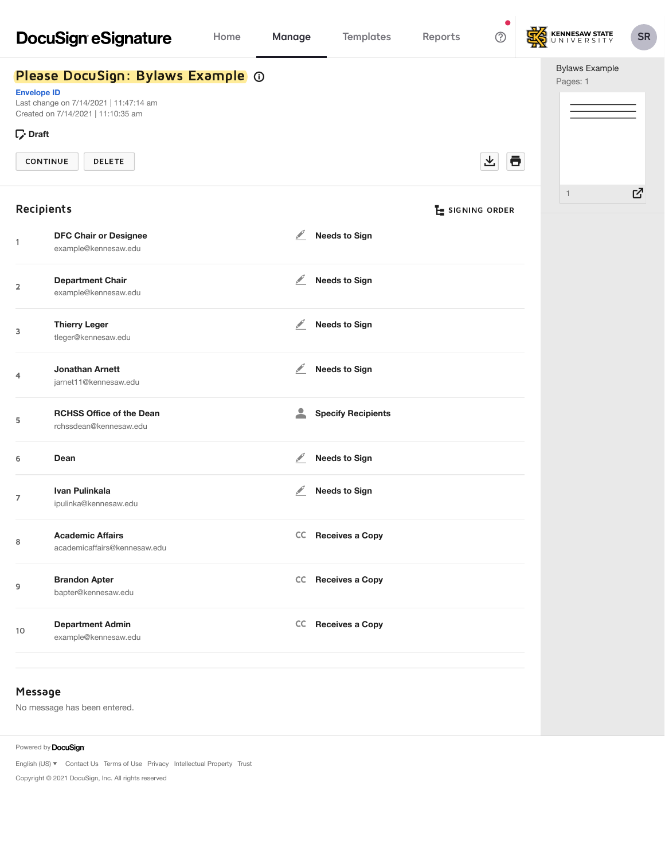|                                                                                                                                                                                               | <b>DocuSign eSignature</b>                                | Home | <b>Manage</b>    | <b>Templates</b>          | Reports | $\bullet$<br>℗  | KENNESAW STATE                    | <b>SR</b> |
|-----------------------------------------------------------------------------------------------------------------------------------------------------------------------------------------------|-----------------------------------------------------------|------|------------------|---------------------------|---------|-----------------|-----------------------------------|-----------|
| Please DocuSign: Bylaws Example @<br><b>Envelope ID</b><br>Last change on 7/14/2021   11:47:14 am<br>Created on 7/14/2021   11:10:35 am<br>$\Gamma$ Draft<br><b>CONTINUE</b><br><b>DELETE</b> |                                                           |      |                  |                           |         | Ō<br>쓰          | <b>Bylaws Example</b><br>Pages: 1 |           |
| Recipients                                                                                                                                                                                    |                                                           |      |                  |                           |         | E SIGNING ORDER | $\mathbf{1}$                      | 忆         |
| 1                                                                                                                                                                                             | <b>DFC Chair or Designee</b><br>example@kennesaw.edu      |      | $\frac{1}{2}$    | <b>Needs to Sign</b>      |         |                 |                                   |           |
| 2                                                                                                                                                                                             | <b>Department Chair</b><br>example@kennesaw.edu           |      | $\mathscr{L}$    | <b>Needs to Sign</b>      |         |                 |                                   |           |
| 3                                                                                                                                                                                             | <b>Thierry Leger</b><br>tleger@kennesaw.edu               |      | ◢                | <b>Needs to Sign</b>      |         |                 |                                   |           |
| 4                                                                                                                                                                                             | <b>Jonathan Arnett</b><br>jarnet11@kennesaw.edu           |      | $\mathscr{L}$    | <b>Needs to Sign</b>      |         |                 |                                   |           |
| 5                                                                                                                                                                                             | <b>RCHSS Office of the Dean</b><br>rchssdean@kennesaw.edu |      | $\blacktriangle$ | <b>Specify Recipients</b> |         |                 |                                   |           |
| 6                                                                                                                                                                                             | Dean                                                      |      | ◢                | <b>Needs to Sign</b>      |         |                 |                                   |           |
| 7                                                                                                                                                                                             | Ivan Pulinkala<br>ipulinka@kennesaw.edu                   |      | ⊻                | <b>Needs to Sign</b>      |         |                 |                                   |           |
| 8                                                                                                                                                                                             | <b>Academic Affairs</b><br>academicaffairs@kennesaw.edu   |      |                  | CC Receives a Copy        |         |                 |                                   |           |
| 9                                                                                                                                                                                             | <b>Brandon Apter</b><br>bapter@kennesaw.edu               |      |                  | CC Receives a Copy        |         |                 |                                   |           |
| 10                                                                                                                                                                                            | <b>Department Admin</b><br>example@kennesaw.edu           |      |                  | CC Receives a Copy        |         |                 |                                   |           |
| Message                                                                                                                                                                                       | No message has been entered.                              |      |                  |                           |         |                 |                                   |           |

Powered by **DocuSign** 

English (US)  $\blacktriangledown$  [Contact](https://support.docusign.com/contactSupport) Us [Terms of](https://www.docusign.com/company/terms-and-conditions/web) Use [Privacy](https://www.docusign.com/company/privacy-policy) [Intellectual](https://www.docusign.com/IP) Property [Trust](https://www.docusign.com/trust)

Copyright © 2021 DocuSign, Inc. All rights reserved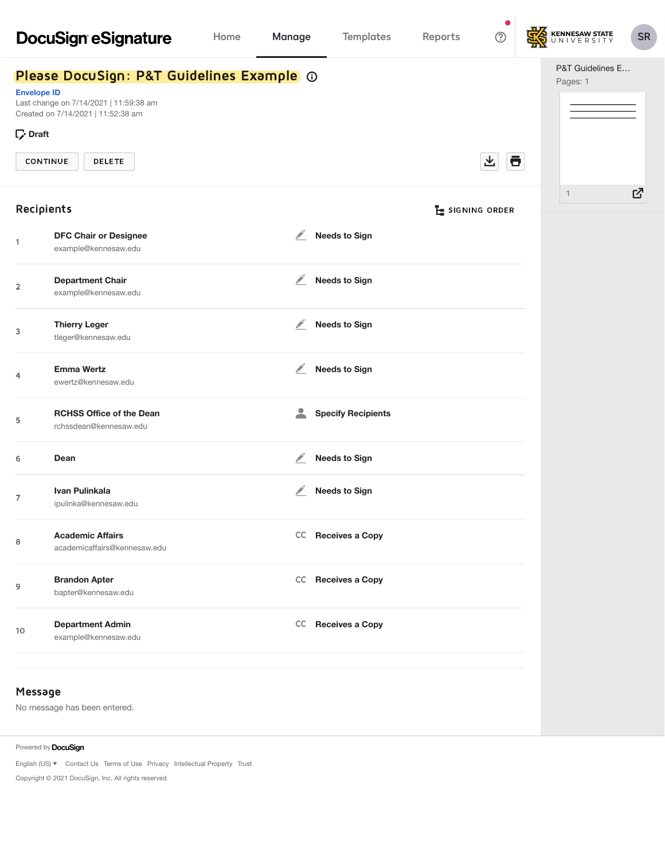|                                                         | <b>DocuSign eSignature</b>                                                                                                                 | Home | <b>Manage</b>                                                                                                                                                                                                                  | <b>Templates</b>          | Reports | $\bullet$<br>℗  | KENNESAW STATE               | <b>SR</b> |
|---------------------------------------------------------|--------------------------------------------------------------------------------------------------------------------------------------------|------|--------------------------------------------------------------------------------------------------------------------------------------------------------------------------------------------------------------------------------|---------------------------|---------|-----------------|------------------------------|-----------|
| <b>Envelope ID</b><br>$\nabla$ Draft<br><b>CONTINUE</b> | Please DocuSign: P&T Guidelines Example @<br>Last change on 7/14/2021   11:59:38 am<br>Created on 7/14/2021   11:52:38 am<br><b>DELETE</b> |      |                                                                                                                                                                                                                                |                           |         | Ō<br>飞          | P&T Guidelines E<br>Pages: 1 |           |
| Recipients                                              |                                                                                                                                            |      |                                                                                                                                                                                                                                |                           |         | E SIGNING ORDER | $\overline{1}$               | 忆         |
| $\mathbf{1}$                                            | <b>DFC Chair or Designee</b><br>example@kennesaw.edu                                                                                       |      | ⊻                                                                                                                                                                                                                              | <b>Needs to Sign</b>      |         |                 |                              |           |
| $\overline{\mathbf{2}}$                                 | <b>Department Chair</b><br>example@kennesaw.edu                                                                                            |      | k andre de la posta de la posta de la posta de la posta de la posta de la posta de la posta de la posta de la posta de la posta de la posta de la posta de la posta de la posta de la posta de la posta de la posta de la post | <b>Needs to Sign</b>      |         |                 |                              |           |
| 3                                                       | <b>Thierry Leger</b><br>tleger@kennesaw.edu                                                                                                |      | $\mathcal{L}$                                                                                                                                                                                                                  | <b>Needs to Sign</b>      |         |                 |                              |           |
| 4                                                       | <b>Emma Wertz</b><br>ewertz@kennesaw.edu                                                                                                   |      | $\mathscr{L}$                                                                                                                                                                                                                  | <b>Needs to Sign</b>      |         |                 |                              |           |
| 5                                                       | <b>RCHSS Office of the Dean</b><br>rchssdean@kennesaw.edu                                                                                  |      | $\mathbf{2}$                                                                                                                                                                                                                   | <b>Specify Recipients</b> |         |                 |                              |           |
| 6                                                       | Dean                                                                                                                                       |      | ⊻                                                                                                                                                                                                                              | <b>Needs to Sign</b>      |         |                 |                              |           |
| 7                                                       | Ivan Pulinkala<br>ipulinka@kennesaw.edu                                                                                                    |      | ⊻                                                                                                                                                                                                                              | <b>Needs to Sign</b>      |         |                 |                              |           |
| 8                                                       | <b>Academic Affairs</b><br>academicaffairs@kennesaw.edu                                                                                    |      |                                                                                                                                                                                                                                | CC Receives a Copy        |         |                 |                              |           |
| 9                                                       | <b>Brandon Apter</b><br>bapter@kennesaw.edu                                                                                                |      |                                                                                                                                                                                                                                | CC Receives a Copy        |         |                 |                              |           |
| 10                                                      | <b>Department Admin</b><br>example@kennesaw.edu                                                                                            |      |                                                                                                                                                                                                                                | CC Receives a Copy        |         |                 |                              |           |
| Message                                                 |                                                                                                                                            |      |                                                                                                                                                                                                                                |                           |         |                 |                              |           |

No message has been entered.

Powered by **DocuSign** 

English (US)  $\blacktriangledown$  [Contact](https://support.docusign.com/contactSupport) Us [Terms of](https://www.docusign.com/company/terms-and-conditions/web) Use [Privacy](https://www.docusign.com/company/privacy-policy) [Intellectual](https://www.docusign.com/IP) Property [Trust](https://www.docusign.com/trust)

Copyright © 2021 DocuSign, Inc. All rights reserved